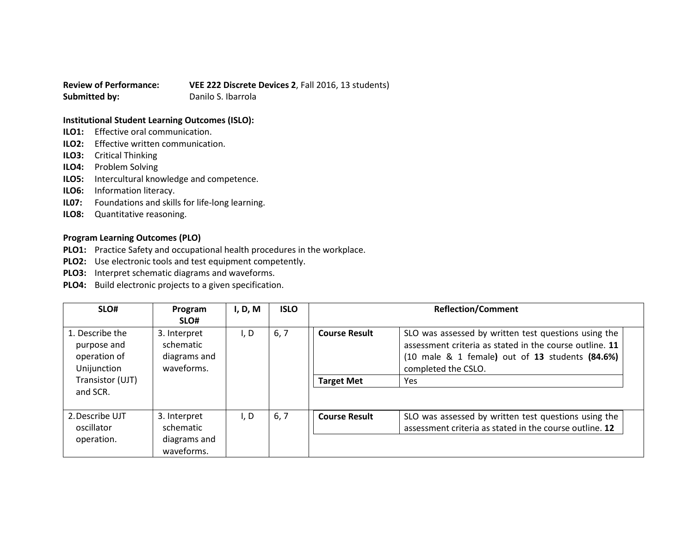**Review of Performance: VEE 222 Discrete Devices 2**, Fall 2016, 13 students) **Submitted by:** Danilo S. Ibarrola

## **Institutional Student Learning Outcomes (ISLO):**

- **ILO1:** Effective oral communication.
- **ILO2:** Effective written communication.
- **ILO3:** Critical Thinking
- **ILO4:** Problem Solving
- **ILO5:** Intercultural knowledge and competence.
- **ILO6:** Information literacy.
- **IL07:** Foundations and skills for life-long learning.
- **ILO8:** Quantitative reasoning.

## **Program Learning Outcomes (PLO)**

- **PLO1:** Practice Safety and occupational health procedures in the workplace.
- **PLO2:** Use electronic tools and test equipment competently.
- **PLO3:** Interpret schematic diagrams and waveforms.
- **PLO4:** Build electronic projects to a given specification.

| SLO#                                                                                          | Program<br>SLO#                                         | I, D, M | <b>ISLO</b> | <b>Reflection/Comment</b>                 |                                                                                                                                                                                                                        |
|-----------------------------------------------------------------------------------------------|---------------------------------------------------------|---------|-------------|-------------------------------------------|------------------------------------------------------------------------------------------------------------------------------------------------------------------------------------------------------------------------|
| 1. Describe the<br>purpose and<br>operation of<br>Unijunction<br>Transistor (UJT)<br>and SCR. | 3. Interpret<br>schematic<br>diagrams and<br>waveforms. | I, D    | 6, 7        | <b>Course Result</b><br><b>Target Met</b> | SLO was assessed by written test questions using the<br>assessment criteria as stated in the course outline. 11<br>$(10 \text{ male } 8 \text{ 1 female})$ out of 13 students $(84.6\%)$<br>completed the CSLO.<br>Yes |
| 2. Describe UJT<br>oscillator<br>operation.                                                   | 3. Interpret<br>schematic<br>diagrams and               | I, D    | 6, 7        | <b>Course Result</b>                      | SLO was assessed by written test questions using the<br>assessment criteria as stated in the course outline. 12                                                                                                        |
|                                                                                               | waveforms.                                              |         |             |                                           |                                                                                                                                                                                                                        |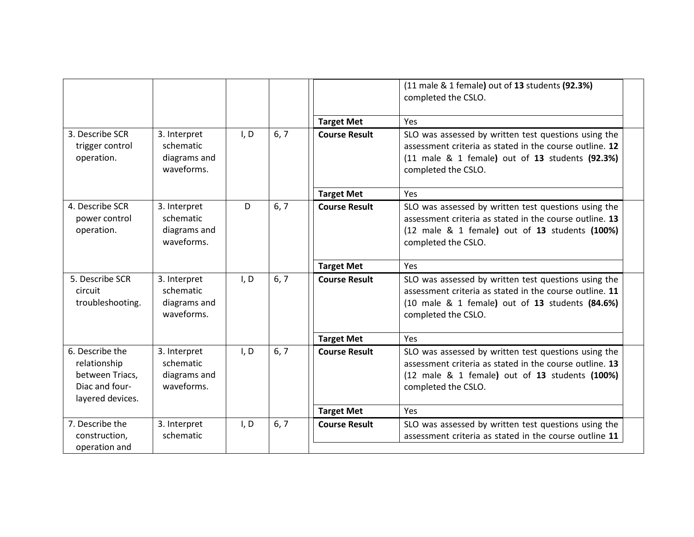|                                                                                          |                                                         |      |      |                      | (11 male & 1 female) out of 13 students (92.3%)<br>completed the CSLO.                                                                                                                    |
|------------------------------------------------------------------------------------------|---------------------------------------------------------|------|------|----------------------|-------------------------------------------------------------------------------------------------------------------------------------------------------------------------------------------|
|                                                                                          |                                                         |      |      | <b>Target Met</b>    | Yes                                                                                                                                                                                       |
| 3. Describe SCR<br>trigger control<br>operation.                                         | 3. Interpret<br>schematic<br>diagrams and<br>waveforms. | I, D | 6, 7 | <b>Course Result</b> | SLO was assessed by written test questions using the<br>assessment criteria as stated in the course outline. 12<br>(11 male & 1 female) out of 13 students (92.3%)<br>completed the CSLO. |
|                                                                                          |                                                         |      |      | <b>Target Met</b>    | Yes                                                                                                                                                                                       |
| 4. Describe SCR<br>power control<br>operation.                                           | 3. Interpret<br>schematic<br>diagrams and<br>waveforms. | D    | 6, 7 | <b>Course Result</b> | SLO was assessed by written test questions using the<br>assessment criteria as stated in the course outline. 13<br>(12 male & 1 female) out of 13 students (100%)<br>completed the CSLO.  |
|                                                                                          |                                                         |      |      | <b>Target Met</b>    | Yes                                                                                                                                                                                       |
| 5. Describe SCR<br>circuit<br>troubleshooting.                                           | 3. Interpret<br>schematic<br>diagrams and<br>waveforms. | I, D | 6, 7 | <b>Course Result</b> | SLO was assessed by written test questions using the<br>assessment criteria as stated in the course outline. 11<br>(10 male & 1 female) out of 13 students (84.6%)<br>completed the CSLO. |
|                                                                                          |                                                         |      |      | <b>Target Met</b>    | Yes                                                                                                                                                                                       |
| 6. Describe the<br>relationship<br>between Triacs,<br>Diac and four-<br>layered devices. | 3. Interpret<br>schematic<br>diagrams and<br>waveforms. | I, D | 6, 7 | <b>Course Result</b> | SLO was assessed by written test questions using the<br>assessment criteria as stated in the course outline. 13<br>(12 male & 1 female) out of 13 students (100%)<br>completed the CSLO.  |
|                                                                                          |                                                         |      |      | <b>Target Met</b>    | Yes                                                                                                                                                                                       |
| 7. Describe the<br>construction,<br>operation and                                        | 3. Interpret<br>schematic                               | I, D | 6, 7 | <b>Course Result</b> | SLO was assessed by written test questions using the<br>assessment criteria as stated in the course outline 11                                                                            |